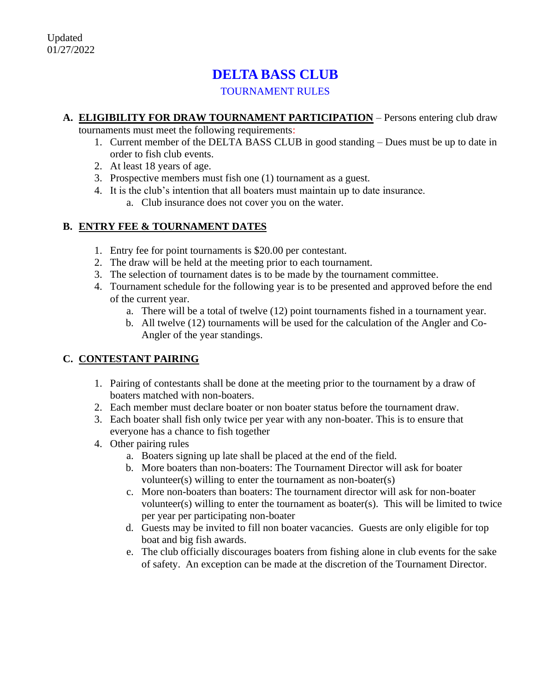# **DELTA BASS CLUB**

TOURNAMENT RULES

- **A. ELIGIBILITY FOR DRAW TOURNAMENT PARTICIPATION** Persons entering club draw tournaments must meet the following requirements:
	- 1. Current member of the DELTA BASS CLUB in good standing Dues must be up to date in order to fish club events.
	- 2. At least 18 years of age.
	- 3. Prospective members must fish one (1) tournament as a guest.
	- 4. It is the club's intention that all boaters must maintain up to date insurance.
		- a. Club insurance does not cover you on the water.

## **B. ENTRY FEE & TOURNAMENT DATES**

- 1. Entry fee for point tournaments is \$20.00 per contestant.
- 2. The draw will be held at the meeting prior to each tournament.
- 3. The selection of tournament dates is to be made by the tournament committee.
- 4. Tournament schedule for the following year is to be presented and approved before the end of the current year.
	- a. There will be a total of twelve (12) point tournaments fished in a tournament year.
	- b. All twelve (12) tournaments will be used for the calculation of the Angler and Co-Angler of the year standings.

# **C. CONTESTANT PAIRING**

- 1. Pairing of contestants shall be done at the meeting prior to the tournament by a draw of boaters matched with non-boaters.
- 2. Each member must declare boater or non boater status before the tournament draw.
- 3. Each boater shall fish only twice per year with any non-boater. This is to ensure that everyone has a chance to fish together
- 4. Other pairing rules
	- a. Boaters signing up late shall be placed at the end of the field.
	- b. More boaters than non-boaters: The Tournament Director will ask for boater volunteer(s) willing to enter the tournament as non-boater(s)
	- c. More non-boaters than boaters: The tournament director will ask for non-boater volunteer(s) willing to enter the tournament as boater(s). This will be limited to twice per year per participating non-boater
	- d. Guests may be invited to fill non boater vacancies. Guests are only eligible for top boat and big fish awards.
	- e. The club officially discourages boaters from fishing alone in club events for the sake of safety. An exception can be made at the discretion of the Tournament Director.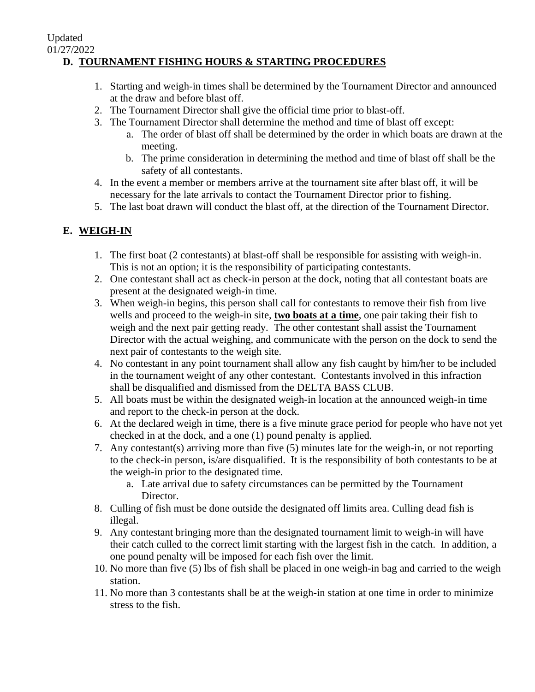#### 01/27/2022 **D. TOURNAMENT FISHING HOURS & STARTING PROCEDURES**

- 1. Starting and weigh-in times shall be determined by the Tournament Director and announced at the draw and before blast off.
- 2. The Tournament Director shall give the official time prior to blast-off.
- 3. The Tournament Director shall determine the method and time of blast off except:
	- a. The order of blast off shall be determined by the order in which boats are drawn at the meeting.
	- b. The prime consideration in determining the method and time of blast off shall be the safety of all contestants.
- 4. In the event a member or members arrive at the tournament site after blast off, it will be necessary for the late arrivals to contact the Tournament Director prior to fishing.
- 5. The last boat drawn will conduct the blast off, at the direction of the Tournament Director.

# **E. WEIGH-IN**

Updated

- 1. The first boat (2 contestants) at blast-off shall be responsible for assisting with weigh-in. This is not an option; it is the responsibility of participating contestants.
- 2. One contestant shall act as check-in person at the dock, noting that all contestant boats are present at the designated weigh-in time.
- 3. When weigh-in begins, this person shall call for contestants to remove their fish from live wells and proceed to the weigh-in site, **two boats at a time**, one pair taking their fish to weigh and the next pair getting ready. The other contestant shall assist the Tournament Director with the actual weighing, and communicate with the person on the dock to send the next pair of contestants to the weigh site.
- 4. No contestant in any point tournament shall allow any fish caught by him/her to be included in the tournament weight of any other contestant. Contestants involved in this infraction shall be disqualified and dismissed from the DELTA BASS CLUB.
- 5. All boats must be within the designated weigh-in location at the announced weigh-in time and report to the check-in person at the dock.
- 6. At the declared weigh in time, there is a five minute grace period for people who have not yet checked in at the dock, and a one (1) pound penalty is applied.
- 7. Any contestant(s) arriving more than five (5) minutes late for the weigh-in, or not reporting to the check-in person, is/are disqualified. It is the responsibility of both contestants to be at the weigh-in prior to the designated time.
	- a. Late arrival due to safety circumstances can be permitted by the Tournament Director.
- 8. Culling of fish must be done outside the designated off limits area. Culling dead fish is illegal.
- 9. Any contestant bringing more than the designated tournament limit to weigh-in will have their catch culled to the correct limit starting with the largest fish in the catch. In addition, a one pound penalty will be imposed for each fish over the limit.
- 10. No more than five (5) lbs of fish shall be placed in one weigh-in bag and carried to the weigh station.
- 11. No more than 3 contestants shall be at the weigh-in station at one time in order to minimize stress to the fish.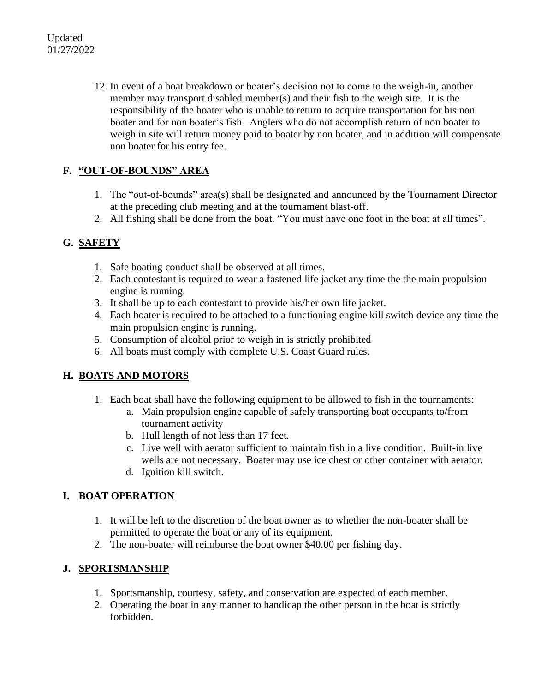12. In event of a boat breakdown or boater's decision not to come to the weigh-in, another member may transport disabled member(s) and their fish to the weigh site. It is the responsibility of the boater who is unable to return to acquire transportation for his non boater and for non boater's fish. Anglers who do not accomplish return of non boater to weigh in site will return money paid to boater by non boater, and in addition will compensate non boater for his entry fee.

#### **F. "OUT-OF-BOUNDS" AREA**

- 1. The "out-of-bounds" area(s) shall be designated and announced by the Tournament Director at the preceding club meeting and at the tournament blast-off.
- 2. All fishing shall be done from the boat. "You must have one foot in the boat at all times".

#### **G. SAFETY**

- 1. Safe boating conduct shall be observed at all times.
- 2. Each contestant is required to wear a fastened life jacket any time the the main propulsion engine is running.
- 3. It shall be up to each contestant to provide his/her own life jacket.
- 4. Each boater is required to be attached to a functioning engine kill switch device any time the main propulsion engine is running.
- 5. Consumption of alcohol prior to weigh in is strictly prohibited
- 6. All boats must comply with complete U.S. Coast Guard rules.

#### **H. BOATS AND MOTORS**

- 1. Each boat shall have the following equipment to be allowed to fish in the tournaments:
	- a. Main propulsion engine capable of safely transporting boat occupants to/from tournament activity
	- b. Hull length of not less than 17 feet.
	- c. Live well with aerator sufficient to maintain fish in a live condition. Built-in live wells are not necessary. Boater may use ice chest or other container with aerator.
	- d. Ignition kill switch.

#### **I. BOAT OPERATION**

- 1. It will be left to the discretion of the boat owner as to whether the non-boater shall be permitted to operate the boat or any of its equipment.
- 2. The non-boater will reimburse the boat owner \$40.00 per fishing day.

#### **J. SPORTSMANSHIP**

- 1. Sportsmanship, courtesy, safety, and conservation are expected of each member.
- 2. Operating the boat in any manner to handicap the other person in the boat is strictly forbidden.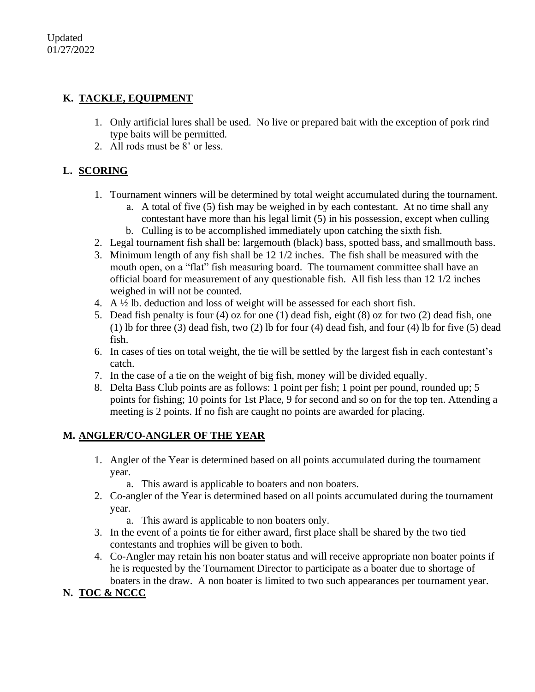### **K. TACKLE, EQUIPMENT**

- 1. Only artificial lures shall be used. No live or prepared bait with the exception of pork rind type baits will be permitted.
- 2. All rods must be 8' or less.

# **L. SCORING**

- 1. Tournament winners will be determined by total weight accumulated during the tournament.
	- a. A total of five (5) fish may be weighed in by each contestant. At no time shall any contestant have more than his legal limit (5) in his possession, except when culling b. Culling is to be accomplished immediately upon catching the sixth fish.
- 2. Legal tournament fish shall be: largemouth (black) bass, spotted bass, and smallmouth bass.
- 3. Minimum length of any fish shall be 12 1/2 inches. The fish shall be measured with the
- mouth open, on a "flat" fish measuring board. The tournament committee shall have an official board for measurement of any questionable fish. All fish less than 12 1/2 inches weighed in will not be counted.
- 4. A ½ lb. deduction and loss of weight will be assessed for each short fish.
- 5. Dead fish penalty is four (4) oz for one (1) dead fish, eight (8) oz for two (2) dead fish, one (1) lb for three (3) dead fish, two (2) lb for four (4) dead fish, and four (4) lb for five (5) dead fish.
- 6. In cases of ties on total weight, the tie will be settled by the largest fish in each contestant's catch.
- 7. In the case of a tie on the weight of big fish, money will be divided equally.
- 8. Delta Bass Club points are as follows: 1 point per fish; 1 point per pound, rounded up; 5 points for fishing; 10 points for 1st Place, 9 for second and so on for the top ten. Attending a meeting is 2 points. If no fish are caught no points are awarded for placing.

# **M. ANGLER/CO-ANGLER OF THE YEAR**

- 1. Angler of the Year is determined based on all points accumulated during the tournament year.
	- a. This award is applicable to boaters and non boaters.
- 2. Co-angler of the Year is determined based on all points accumulated during the tournament year.
	- a. This award is applicable to non boaters only.
- 3. In the event of a points tie for either award, first place shall be shared by the two tied contestants and trophies will be given to both.
- 4. Co-Angler may retain his non boater status and will receive appropriate non boater points if he is requested by the Tournament Director to participate as a boater due to shortage of boaters in the draw. A non boater is limited to two such appearances per tournament year.

# **N. TOC & NCCC**